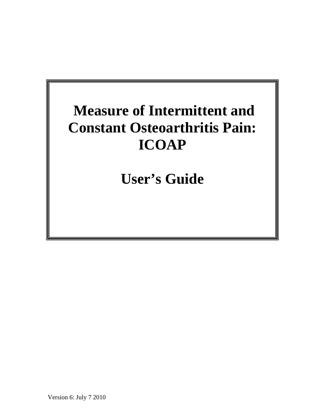# **Measure of Intermittent and Constant Osteoarthritis Pain: ICOAP**

**User's Guide**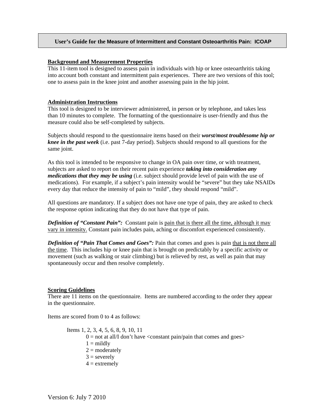# **User's Guide for the Measure of Intermittent and Constant Osteoarthritis Pain: ICOAP**

#### **Background and Measurement Properties**

This 11-item tool is designed to assess pain in individuals with hip or knee osteoarthritis taking into account both constant and intermittent pain experiences. There are two versions of this tool; one to assess pain in the knee joint and another assessing pain in the hip joint.

## **Administration Instructions**

This tool is designed to be interviewer administered, in person or by telephone, and takes less than 10 minutes to complete. The formatting of the questionnaire is user-friendly and thus the measure could also be self-completed by subjects.

Subjects should respond to the questionnaire items based on their *worst/most troublesome hip or knee in the past week* (i.e. past 7-day period). Subjects should respond to all questions for the same joint.

As this tool is intended to be responsive to change in OA pain over time, or with treatment, subjects are asked to report on their recent pain experience *taking into consideration any medications that they may be using* (i.e. subject should provide level of pain with the use of medications). For example, if a subject's pain intensity would be "severe" but they take NSAIDs every day that reduce the intensity of pain to "mild", they should respond "mild".

All questions are mandatory. If a subject does not have one type of pain, they are asked to check the response option indicating that they do not have that type of pain.

*Definition of "Constant Pain":* Constant pain is pain that is there all the time, although it may vary in intensity. Constant pain includes pain, aching or discomfort experienced consistently.

*Definition of "Pain That Comes and Goes":* Pain that comes and goes is pain that is not there all the time. This includes hip or knee pain that is brought on predictably by a specific activity or movement (such as walking or stair climbing) but is relieved by rest, as well as pain that may spontaneously occur and then resolve completely.

## **Scoring Guidelines**

There are 11 items on the questionnaire. Items are numbered according to the order they appear in the questionnaire.

Items are scored from 0 to 4 as follows:

Items 1, 2, 3, 4, 5, 6, 8, 9, 10, 11  $0 =$  not at all/I don't have  $\alpha$  constant pain/pain that comes and goes  $>$  $1 =$  mildly  $2 =$  moderately  $3 =$  severely  $4 =$  extremely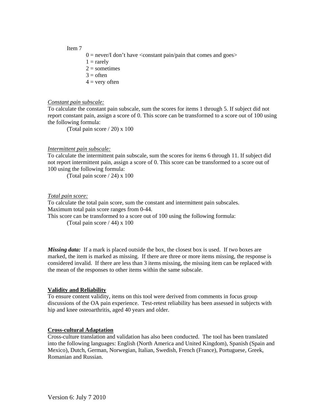#### Item 7

- $0 =$  never/I don't have  $\alpha$  constant pain/pain that comes and goes  $>$
- $1 = \text{rarely}$
- $2 =$ sometimes
- $3 = \text{often}$
- $4 =$  very often

#### *Constant pain subscale:*

To calculate the constant pain subscale, sum the scores for items 1 through 5. If subject did not report constant pain, assign a score of 0. This score can be transformed to a score out of 100 using the following formula:

(Total pain score / 20) x 100

#### *Intermittent pain subscale:*

To calculate the intermittent pain subscale, sum the scores for items 6 through 11. If subject did not report intermittent pain, assign a score of 0. This score can be transformed to a score out of 100 using the following formula:

(Total pain score / 24) x 100

#### *Total pain score:*

To calculate the total pain score, sum the constant and intermittent pain subscales. Maximum total pain score ranges from 0-44.

This score can be transformed to a score out of 100 using the following formula:

(Total pain score / 44) x 100

*Missing data:* If a mark is placed outside the box, the closest box is used. If two boxes are marked, the item is marked as missing. If there are three or more items missing, the response is considered invalid. If there are less than 3 items missing, the missing item can be replaced with the mean of the responses to other items within the same subscale.

# **Validity and Reliability**

To ensure content validity, items on this tool were derived from comments in focus group discussions of the OA pain experience. Test-retest reliability has been assessed in subjects with hip and knee osteoarthritis, aged 40 years and older.

#### **Cross-cultural Adaptation**

Cross-culture translation and validation has also been conducted. The tool has been translated into the following languages: English (North America and United Kingdom), Spanish (Spain and Mexico), Dutch, German, Norwegian, Italian, Swedish, French (France), Portuguese, Greek, Romanian and Russian.